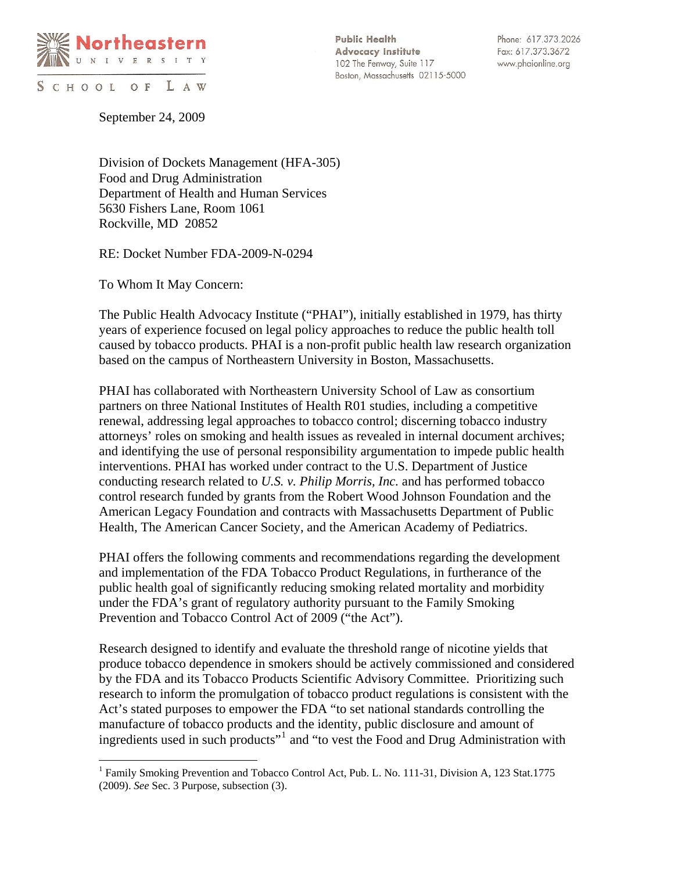

SCHOOL OF LAW

 $\overline{a}$ 

**Public Health Advocacy Institute** 102 The Fenway, Suite 117 Boston, Massachusetts 02115-5000

Phone: 617.373.2026 Fax: 617.373.3672 www.phaionline.org

September 24, 2009

Division of Dockets Management (HFA-305) Food and Drug Administration Department of Health and Human Services 5630 Fishers Lane, Room 1061 Rockville, MD 20852

RE: Docket Number FDA-2009-N-0294

To Whom It May Concern:

The Public Health Advocacy Institute ("PHAI"), initially established in 1979, has thirty years of experience focused on legal policy approaches to reduce the public health toll caused by tobacco products. PHAI is a non-profit public health law research organization based on the campus of Northeastern University in Boston, Massachusetts.

PHAI has collaborated with Northeastern University School of Law as consortium partners on three National Institutes of Health R01 studies, including a competitive renewal, addressing legal approaches to tobacco control; discerning tobacco industry attorneys' roles on smoking and health issues as revealed in internal document archives; and identifying the use of personal responsibility argumentation to impede public health interventions. PHAI has worked under contract to the U.S. Department of Justice conducting research related to *U.S. v. Philip Morris, Inc.* and has performed tobacco control research funded by grants from the Robert Wood Johnson Foundation and the American Legacy Foundation and contracts with Massachusetts Department of Public Health, The American Cancer Society, and the American Academy of Pediatrics.

PHAI offers the following comments and recommendations regarding the development and implementation of the FDA Tobacco Product Regulations, in furtherance of the public health goal of significantly reducing smoking related mortality and morbidity under the FDA's grant of regulatory authority pursuant to the Family Smoking Prevention and Tobacco Control Act of 2009 ("the Act").

Research designed to identify and evaluate the threshold range of nicotine yields that produce tobacco dependence in smokers should be actively commissioned and considered by the FDA and its Tobacco Products Scientific Advisory Committee. Prioritizing such research to inform the promulgation of tobacco product regulations is consistent with the Act's stated purposes to empower the FDA "to set national standards controlling the manufacture of tobacco products and the identity, public disclosure and amount of ingredients used in such products"<sup>[1](#page-0-0)</sup> and "to vest the Food and Drug Administration with

<span id="page-0-0"></span><sup>&</sup>lt;sup>1</sup> Family Smoking Prevention and Tobacco Control Act, Pub. L. No. 111-31, Division A, 123 Stat.1775 (2009). *See* Sec. 3 Purpose, subsection (3).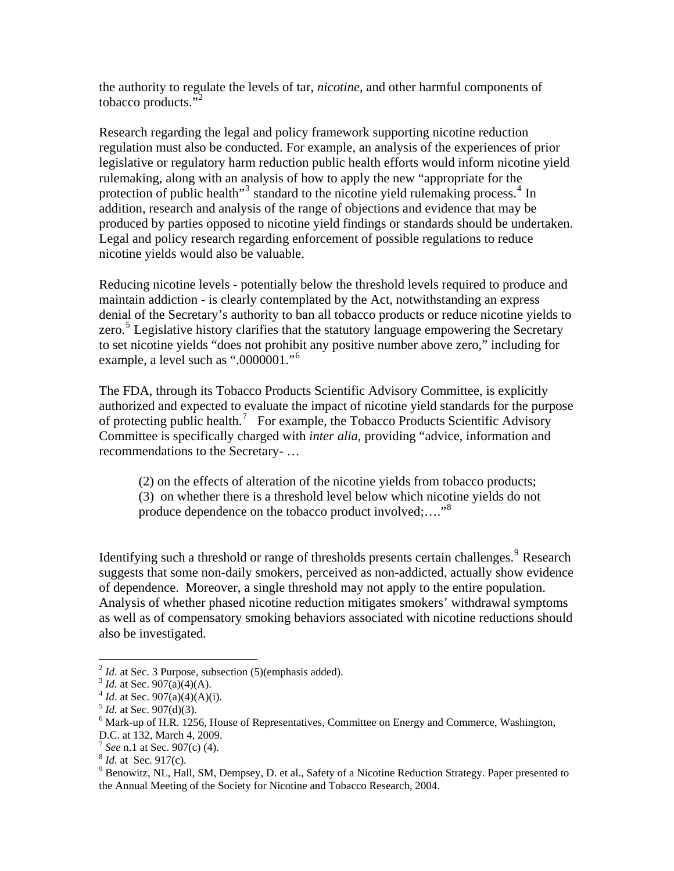the authority to regulate the levels of tar, *nicotine,* and other harmful components of tobacco products. $\overline{1}^2$  $\overline{1}^2$ 

Research regarding the legal and policy framework supporting nicotine reduction regulation must also be conducted. For example, an analysis of the experiences of prior legislative or regulatory harm reduction public health efforts would inform nicotine yield rulemaking, along with an analysis of how to apply the new "appropriate for the protection of public health"<sup>[3](#page-1-1)</sup> standard to the nicotine yield rulemaking process.<sup>[4](#page-1-2)</sup> In addition, research and analysis of the range of objections and evidence that may be produced by parties opposed to nicotine yield findings or standards should be undertaken. Legal and policy research regarding enforcement of possible regulations to reduce nicotine yields would also be valuable.

Reducing nicotine levels - potentially below the threshold levels required to produce and maintain addiction - is clearly contemplated by the Act, notwithstanding an express denial of the Secretary's authority to ban all tobacco products or reduce nicotine yields to zero.<sup>[5](#page-1-3)</sup> Legislative history clarifies that the statutory language empowering the Secretary to set nicotine yields "does not prohibit any positive number above zero," including for example, a level such as ".0000001."[6](#page-1-4)

The FDA, through its Tobacco Products Scientific Advisory Committee, is explicitly authorized and expected to evaluate the impact of nicotine yield standards for the purpose of protecting public health.<sup>[7](#page-1-5)</sup> For example, the Tobacco Products Scientific Advisory Committee is specifically charged with *inter alia,* providing "advice, information and recommendations to the Secretary- …

 (2) on the effects of alteration of the nicotine yields from tobacco products; (3) on whether there is a threshold level below which nicotine yields do not produce dependence on the tobacco product involved;...."<sup>[8](#page-1-6)</sup>

Identifying such a threshold or range of thresholds presents certain challenges.<sup>[9](#page-1-7)</sup> Research suggests that some non-daily smokers, perceived as non-addicted, actually show evidence of dependence. Moreover, a single threshold may not apply to the entire population. Analysis of whether phased nicotine reduction mitigates smokers' withdrawal symptoms as well as of compensatory smoking behaviors associated with nicotine reductions should also be investigated.

 $\overline{a}$ 

D.C. at 132, March 4, 2009.

<span id="page-1-0"></span><sup>&</sup>lt;sup>2</sup> *Id.* at Sec. 3 Purpose, subsection (5)(emphasis added).<br>
<sup>3</sup> *Id.* at Sec. 907(a)(4)(A)(i).<br>
<sup>4</sup> *Id.* at Sec. 907(a)(4)(A)(i).<br>
<sup>5</sup> *Id.* at Sec. 907(d)(3).<br>
<sup>6</sup> Mark up sets 907(d)(3).

<span id="page-1-1"></span>

<span id="page-1-2"></span>

<span id="page-1-3"></span>

<span id="page-1-4"></span> $6$  Mark-up of H.R. 1256, House of Representatives, Committee on Energy and Commerce, Washington,

<span id="page-1-6"></span><span id="page-1-5"></span><sup>&</sup>lt;sup>7</sup> *See* n.1 at Sec. 907(c) (4). <sup>8</sup> *Id.* at Sec. 917(c).

<span id="page-1-7"></span><sup>&</sup>lt;sup>9</sup> Benowitz, NL, Hall, SM, Dempsey, D. et al., Safety of a Nicotine Reduction Strategy. Paper presented to the Annual Meeting of the Society for Nicotine and Tobacco Research, 2004.